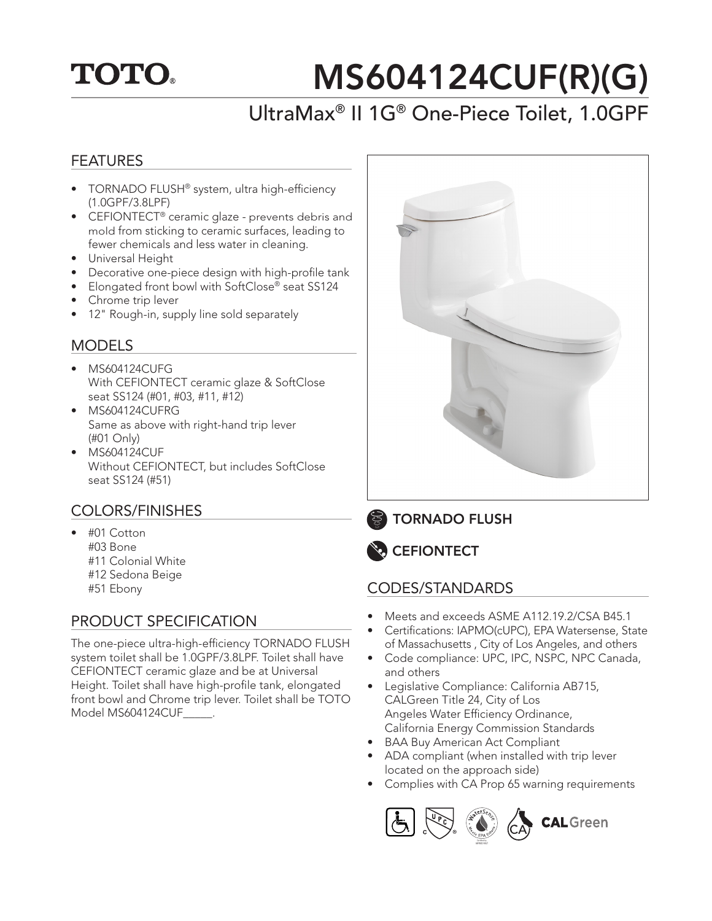## **TOTO.**

# MS604124CUF(R)(G)

### UltraMax® II 1G® One-Piece Toilet, 1.0GPF

#### FEATURES

- TORNADO FLUSH® system, ultra high-efficiency (1.0GPF/3.8LPF)
- CEFIONTECT<sup>®</sup> ceramic glaze prevents debris and mold from sticking to ceramic surfaces, leading to fewer chemicals and less water in cleaning.
- Universal Height
- Decorative one-piece design with high-profile tank
- Elongated front bowl with SoftClose® seat SS124
- Chrome trip lever
- 12" Rough-in, supply line sold separately

#### **MODELS**

- MS604124CUFG With CEFIONTECT ceramic glaze & SoftClose seat SS124 (#01, #03, #11, #12)
- MS604124CUFRG Same as above with right-hand trip lever (#01 Only)
- MS604124CUF Without CEFIONTECT, but includes SoftClose seat SS124 (#51)

#### COLORS/FINISHES

- #01 Cotton #03 Bone #11 Colonial White #12 Sedona Beige
	- #51 Ebony

#### PRODUCT SPECIFICATION

The one-piece ultra-high-efficiency TORNADO FLUSH system toilet shall be 1.0GPF/3.8LPF. Toilet shall have CEFIONTECT ceramic glaze and be at Universal Height. Toilet shall have high-profile tank, elongated front bowl and Chrome trip lever. Toilet shall be TOTO Model MS604124CUF\_\_\_\_\_.



TORNADO FLUSH



#### CODES/STANDARDS

- Meets and exceeds ASME A112.19.2/CSA B45.1
- Certifications: IAPMO(cUPC), EPA Watersense, State of Massachusetts , City of Los Angeles, and others
- Code compliance: UPC, IPC, NSPC, NPC Canada, and others
- Legislative Compliance: California AB715, CALGreen Title 24, City of Los Angeles Water Efficiency Ordinance, California Energy Commission Standards
- BAA Buy American Act Compliant
- ADA compliant (when installed with trip lever located on the approach side)
- Complies with CA Prop 65 warning requirements